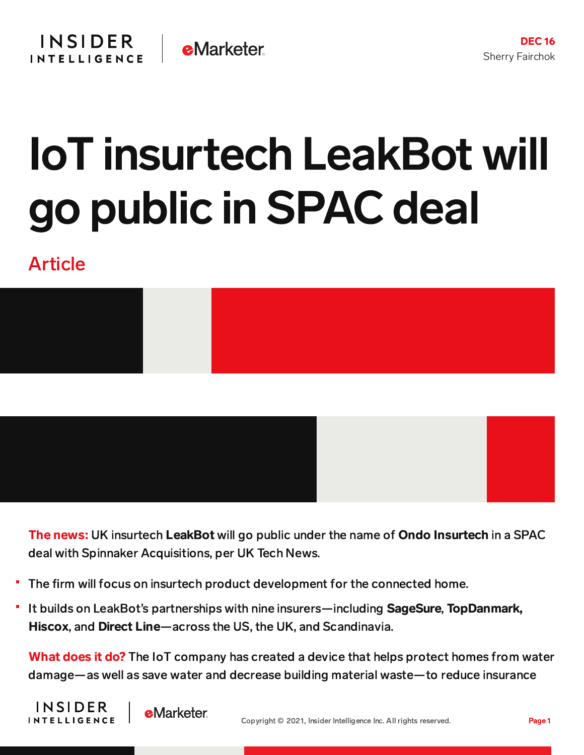## IoT insurtech LeakBot will go public in SPAC deal

## Article





The news: UK insurtech LeakBot will go public under the name of Ondo Insurtech in a SPAC deal with Spinnaker Acquisitions, per UK Tech News.

- The firm will focus on insurtech product development for the connected home.
- It builds on LeakBot's partnerships with nine insurers—including SageSure, TopDanmark, Hiscox, and Direct Line—across the US, the UK, and Scandinavia.

What does it do? The IoT company has created a device that helps protect homes from water damage—as well as save water and decrease building material waste—to reduce insurance



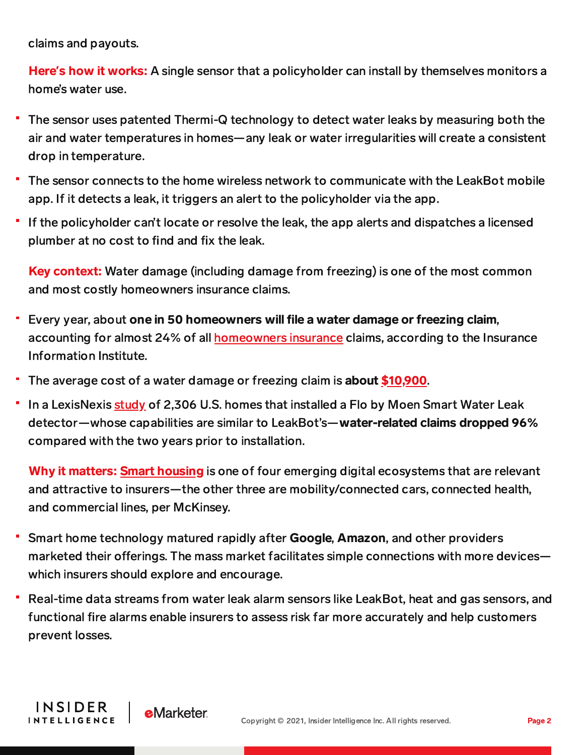claims and payouts.

Here**'**s how it works: A single sensor that a policyholder can install by themselves monitors a home's water use.

- The sensor uses patented Thermi-Q technology to detect water leaks by measuring both the air and water temperatures in homes—any leak or water irregularities will create a consistent drop in temperature.
- The sensor connects to the home wireless network to communicate with the LeakBot mobile app. If it detects a leak, it triggers an alert to the policyholder via the app.
- If the policyholder can't locate or resolve the leak, the app alerts and dispatches a licensed plumber at no cost to find and fix the leak.

Key context: Water damage (including damage from freezing) is one of the most common and most costly homeowners insurance claims.

- Every year, about one in 50 homeowners will file a water damage or freezing claim, accounting for almost 24% of all [homeowners](https://www.forbes.com/advisor/homeowners-insurance/best-homeowners-insurance-companies/) insurance claims, according to the Insurance Information Institute.
- The average cost of a water damage or freezing claim is about [\\$10,900](https://www.forbes.com/advisor/homeowners-insurance/water-damage/).
- In a LexisNexis [study](https://risk.lexisnexis.com/about-us/press-room/press-release/20200505-flo-by-moen) of 2,306 U.S. homes that installed a Flo by Moen Smart Water Leak detector—whose capabilities are similar to LeakBot's—water-related claims dropped 96% compared with the two years prior to installation.

Why it matters: **Smart [housing](https://www.mckinsey.com/industries/financial-services/our-insights/digital-ecosystems-for-insurers-opportunities-through-the-internet-of-things)** is one of four emerging digital ecosystems that are relevant and attractive to insurers—the other three are mobility/connected cars, connected health, and commercial lines, per McKinsey.

- Smart home technology matured rapidly after Google, Amazon, and other providers marketed their offerings. The mass market facilitates simple connections with more devices which insurers should explore and encourage.
- Real-time data streams from water leak alarm sensors like LeakBot, heat and gas sensors, and functional fire alarms enable insurers to assess risk far more accurately and help customers prevent losses.